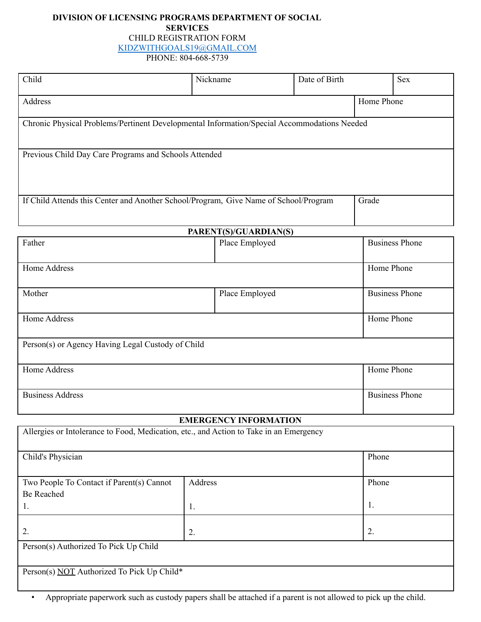# **DIVISION OF LICENSING PROGRAMS DEPARTMENT OF SOCIAL SERVICES** CHILD REGISTRATION FORM

[KIDZWITHGOALS19@GMAIL.COM](mailto:KIDZWITHGOALS19@GMAIL.COM)

PHONE: 804-668-5739

| Child                                                                                       | Nickname | Date of Birth |            | <b>Sex</b> |  |  |
|---------------------------------------------------------------------------------------------|----------|---------------|------------|------------|--|--|
| Address                                                                                     |          |               | Home Phone |            |  |  |
| Chronic Physical Problems/Pertinent Developmental Information/Special Accommodations Needed |          |               |            |            |  |  |
| Previous Child Day Care Programs and Schools Attended                                       |          |               |            |            |  |  |
|                                                                                             |          |               |            |            |  |  |
| If Child Attends this Center and Another School/Program, Give Name of School/Program        |          |               | Grade      |            |  |  |

| PARENT(S)/GUARDIAN(S)                             |                |                       |  |  |
|---------------------------------------------------|----------------|-----------------------|--|--|
| Father                                            | Place Employed | <b>Business Phone</b> |  |  |
|                                                   |                |                       |  |  |
| Home Address                                      |                | Home Phone            |  |  |
|                                                   |                |                       |  |  |
| Mother                                            | Place Employed | <b>Business Phone</b> |  |  |
|                                                   |                |                       |  |  |
| Home Address                                      |                | Home Phone            |  |  |
|                                                   |                |                       |  |  |
| Person(s) or Agency Having Legal Custody of Child |                |                       |  |  |
|                                                   |                |                       |  |  |
| Home Address                                      |                | Home Phone            |  |  |
|                                                   |                |                       |  |  |
| <b>Business Address</b>                           |                | <b>Business Phone</b> |  |  |
|                                                   |                |                       |  |  |

# **EMERGENCY INFORMATION**

| Allergies or Intolerance to Food, Medication, etc., and Action to Take in an Emergency |                |       |  |  |
|----------------------------------------------------------------------------------------|----------------|-------|--|--|
| Child's Physician                                                                      |                | Phone |  |  |
| Two People To Contact if Parent(s) Cannot                                              | Address        | Phone |  |  |
| Be Reached                                                                             |                |       |  |  |
| 1.                                                                                     | 1.             | 1.    |  |  |
| 2.                                                                                     | $\overline{2}$ | 2.    |  |  |
| Person(s) Authorized To Pick Up Child                                                  |                |       |  |  |
|                                                                                        |                |       |  |  |
| Person(s) NOT Authorized To Pick Up Child*                                             |                |       |  |  |

• Appropriate paperwork such as custody papers shall be attached if a parent is not allowed to pick up the child.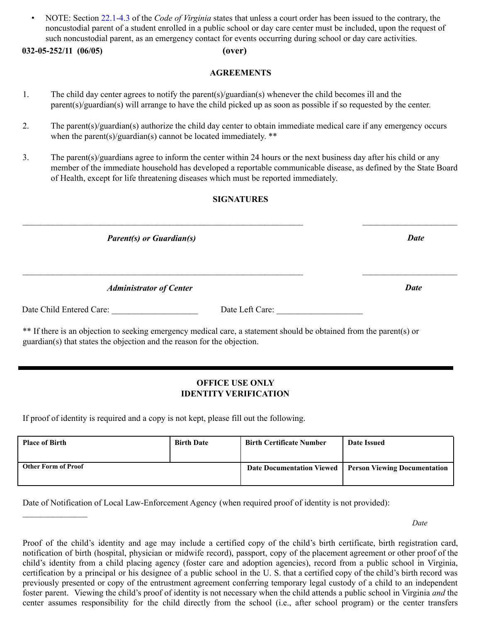• NOTE: Section 22.1-4.3 of the *Code of Virginia* states that unless a court order has been issued to the contrary, the noncustodial parent of a student enrolled in a public school or day care center must be included, upon the request of such noncustodial parent, as an emergency contact for events occurring during school or day care activities.

# **032-05-252/11 (06/05) (over)**

### **AGREEMENTS**

- 1. The child day center agrees to notify the parent(s)/guardian(s) whenever the child becomes ill and the parent(s)/guardian(s) will arrange to have the child picked up as soon as possible if so requested by the center.
- 2. The parent(s)/guardian(s) authorize the child day center to obtain immediate medical care if any emergency occurs when the parent(s)/guardian(s) cannot be located immediately.  $**$
- 3. The parent(s)/guardians agree to inform the center within 24 hours or the next business day after his child or any member of the immediate household has developed a reportable communicable disease, as defined by the State Board of Health, except for life threatening diseases which must be reported immediately.

### **SIGNATURES**

 $\mathcal{L}_\mathcal{L} = \{ \mathcal{L}_\mathcal{L} = \{ \mathcal{L}_\mathcal{L} = \{ \mathcal{L}_\mathcal{L} = \{ \mathcal{L}_\mathcal{L} = \{ \mathcal{L}_\mathcal{L} = \{ \mathcal{L}_\mathcal{L} = \{ \mathcal{L}_\mathcal{L} = \{ \mathcal{L}_\mathcal{L} = \{ \mathcal{L}_\mathcal{L} = \{ \mathcal{L}_\mathcal{L} = \{ \mathcal{L}_\mathcal{L} = \{ \mathcal{L}_\mathcal{L} = \{ \mathcal{L}_\mathcal{L} = \{ \mathcal{L}_\mathcal{$ 

 $\mathcal{L}_\mathcal{L} = \{ \mathcal{L}_\mathcal{L} = \{ \mathcal{L}_\mathcal{L} = \{ \mathcal{L}_\mathcal{L} = \{ \mathcal{L}_\mathcal{L} = \{ \mathcal{L}_\mathcal{L} = \{ \mathcal{L}_\mathcal{L} = \{ \mathcal{L}_\mathcal{L} = \{ \mathcal{L}_\mathcal{L} = \{ \mathcal{L}_\mathcal{L} = \{ \mathcal{L}_\mathcal{L} = \{ \mathcal{L}_\mathcal{L} = \{ \mathcal{L}_\mathcal{L} = \{ \mathcal{L}_\mathcal{L} = \{ \mathcal{L}_\mathcal{$ 

*Parent(s) or Guardian(s) Date*

*Administrator of Center Date*

 $\frac{1}{2}$  , where  $\frac{1}{2}$  , where  $\frac{1}{2}$ 

Date Child Entered Care: \_\_\_\_\_\_\_\_\_\_\_\_\_\_\_\_\_\_\_\_ Date Left Care: \_\_\_\_\_\_\_\_\_\_\_\_\_\_\_\_\_\_\_\_

\*\* If there is an objection to seeking emergency medical care, a statement should be obtained from the parent(s) or guardian(s) that states the objection and the reason for the objection.

## **OFFICE USE ONLY IDENTITY VERIFICATION**

If proof of identity is required and a copy is not kept, please fill out the following.

| <b>Place of Birth</b>      | <b>Birth Date</b> | <b>Birth Certificate Number</b>  | Date Issued                         |
|----------------------------|-------------------|----------------------------------|-------------------------------------|
| <b>Other Form of Proof</b> |                   | <b>Date Documentation Viewed</b> | <b>Person Viewing Documentation</b> |

Date of Notification of Local Law-Enforcement Agency (when required proof of identity is not provided):

*Date*

Proof of the child's identity and age may include a certified copy of the child's birth certificate, birth registration card, notification of birth (hospital, physician or midwife record), passport, copy of the placement agreement or other proof of the child's identity from a child placing agency (foster care and adoption agencies), record from a public school in Virginia, certification by a principal or his designee of a public school in the U. S. that a certified copy of the child's birth record was previously presented or copy of the entrustment agreement conferring temporary legal custody of a child to an independent foster parent. Viewing the child's proof of identity is not necessary when the child attends a public school in Virginia *and* the center assumes responsibility for the child directly from the school (i.e., after school program) or the center transfers